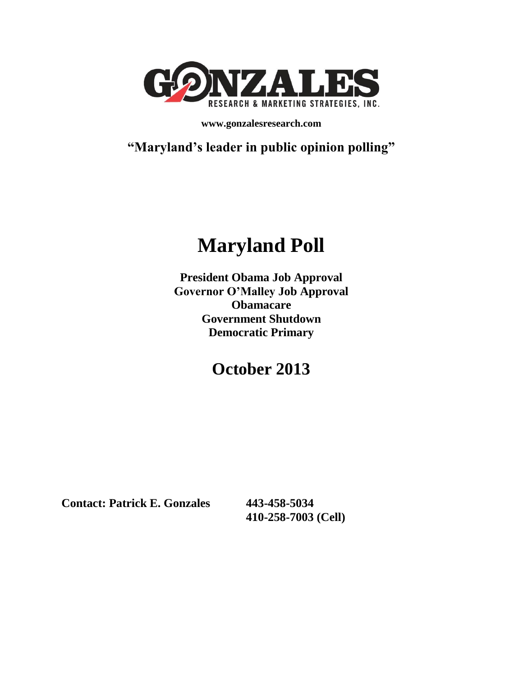

**www.gonzalesresearch.com**

**"Maryland's leader in public opinion polling"**

# **Maryland Poll**

**President Obama Job Approval Governor O'Malley Job Approval Obamacare Government Shutdown Democratic Primary**

## **October 2013**

**Contact: Patrick E. Gonzales 443-458-5034**

**410-258-7003 (Cell)**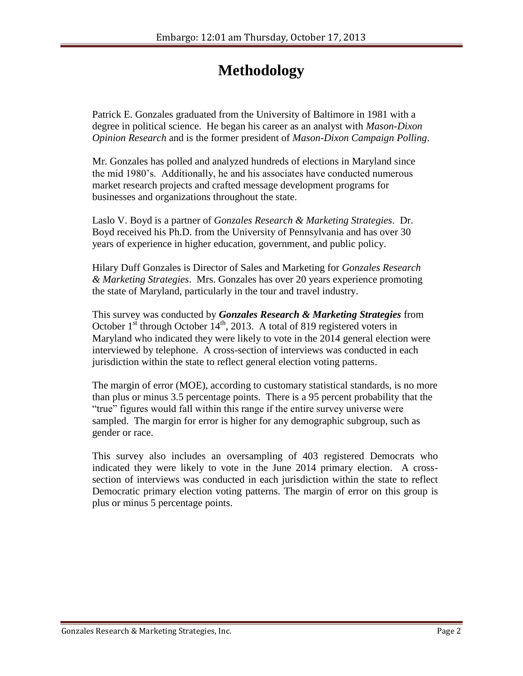## **Methodology**

Patrick E. Gonzales graduated from the University of Baltimore in 1981 with a degree in political science. He began his career as an analyst with *Mason-Dixon Opinion Research* and is the former president of *Mason-Dixon Campaign Polling*.

Mr. Gonzales has polled and analyzed hundreds of elections in Maryland since the mid 1980's. Additionally, he and his associates have conducted numerous market research projects and crafted message development programs for businesses and organizations throughout the state.

Laslo V. Boyd is a partner of *Gonzales Research & Marketing Strategies*. Dr. Boyd received his Ph.D. from the University of Pennsylvania and has over 30 years of experience in higher education, government, and public policy.

Hilary Duff Gonzales is Director of Sales and Marketing for *Gonzales Research & Marketing Strategies*. Mrs. Gonzales has over 20 years experience promoting the state of Maryland, particularly in the tour and travel industry.

This survey was conducted by *Gonzales Research & Marketing Strategies* from October  $1^{st}$  through October  $14^{th}$ , 2013. A total of 819 registered voters in Maryland who indicated they were likely to vote in the 2014 general election were interviewed by telephone. A cross-section of interviews was conducted in each jurisdiction within the state to reflect general election voting patterns.

The margin of error (MOE), according to customary statistical standards, is no more than plus or minus 3.5 percentage points. There is a 95 percent probability that the "true" figures would fall within this range if the entire survey universe were sampled. The margin for error is higher for any demographic subgroup, such as gender or race.

This survey also includes an oversampling of 403 registered Democrats who indicated they were likely to vote in the June 2014 primary election. A crosssection of interviews was conducted in each jurisdiction within the state to reflect Democratic primary election voting patterns. The margin of error on this group is plus or minus 5 percentage points.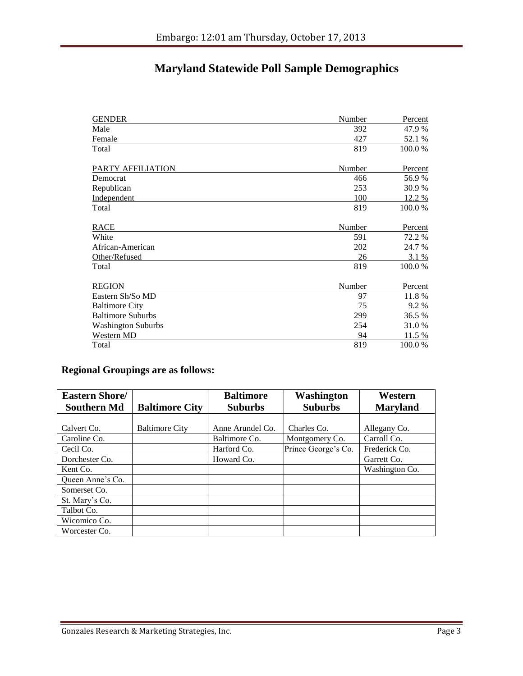### **Maryland Statewide Poll Sample Demographics**

| <b>GENDER</b>             | Number | Percent |
|---------------------------|--------|---------|
| Male                      | 392    | 47.9 %  |
| Female                    | 427    | 52.1 %  |
| Total                     | 819    | 100.0%  |
| PARTY AFFILIATION         | Number | Percent |
| Democrat                  | 466    | 56.9%   |
| Republican                | 253    | 30.9%   |
| Independent               | 100    | 12.2 %  |
| Total                     | 819    | 100.0%  |
| <b>RACE</b>               | Number | Percent |
| White                     | 591    | 72.2 %  |
| African-American          | 202    | 24.7 %  |
| Other/Refused             | 26     | 3.1 %   |
| Total                     | 819    | 100.0%  |
| <b>REGION</b>             | Number | Percent |
| Eastern Sh/So MD          | 97     | 11.8%   |
| <b>Baltimore City</b>     | 75     | 9.2 %   |
| <b>Baltimore Suburbs</b>  | 299    | 36.5 %  |
| <b>Washington Suburbs</b> | 254    | 31.0%   |
| Western MD                | 94     | 11.5 %  |
| Total                     | 819    | 100.0 % |

#### **Regional Groupings are as follows:**

| <b>Eastern Shore/</b> |                       | <b>Baltimore</b> | Washington          | Western         |
|-----------------------|-----------------------|------------------|---------------------|-----------------|
| <b>Southern Md</b>    | <b>Baltimore City</b> | <b>Suburbs</b>   | <b>Suburbs</b>      | <b>Maryland</b> |
|                       |                       |                  |                     |                 |
| Calvert Co.           | <b>Baltimore City</b> | Anne Arundel Co. | Charles Co.         | Allegany Co.    |
| Caroline Co.          |                       | Baltimore Co.    | Montgomery Co.      | Carroll Co.     |
| Cecil Co.             |                       | Harford Co.      | Prince George's Co. | Frederick Co.   |
| Dorchester Co.        |                       | Howard Co.       |                     | Garrett Co.     |
| Kent Co.              |                       |                  |                     | Washington Co.  |
| Oueen Anne's Co.      |                       |                  |                     |                 |
| Somerset Co.          |                       |                  |                     |                 |
| St. Mary's Co.        |                       |                  |                     |                 |
| Talbot Co.            |                       |                  |                     |                 |
| Wicomico Co.          |                       |                  |                     |                 |
| Worcester Co.         |                       |                  |                     |                 |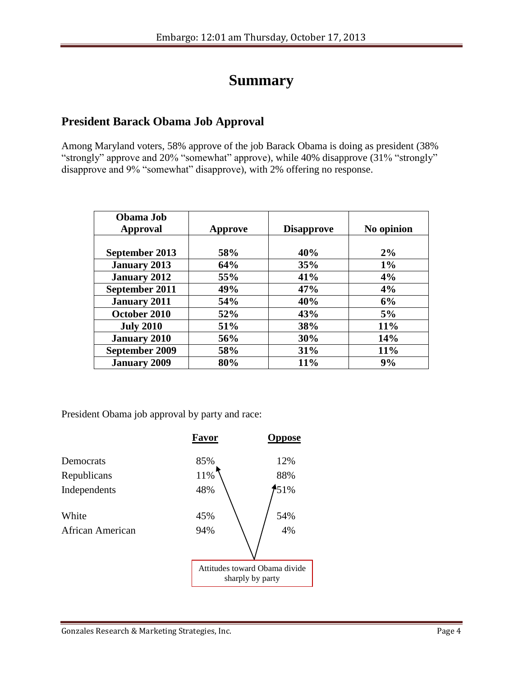## **Summary**

#### **President Barack Obama Job Approval**

Among Maryland voters, 58% approve of the job Barack Obama is doing as president (38% "strongly" approve and 20% "somewhat" approve), while 40% disapprove (31% "strongly" disapprove and 9% "somewhat" disapprove), with 2% offering no response.

| Obama Job<br>Approval | Approve    | <b>Disapprove</b> | No opinion |
|-----------------------|------------|-------------------|------------|
|                       |            |                   |            |
| September 2013        | 58%        | 40%               | 2%         |
| <b>January 2013</b>   | 64%        | 35%               | $1\%$      |
| <b>January 2012</b>   | 55%        | 41%               | 4%         |
| September 2011        | 49%        | 47%               | 4%         |
| <b>January 2011</b>   | <b>54%</b> | 40%               | 6%         |
| October 2010          | 52%        | 43%               | 5%         |
| <b>July 2010</b>      | 51%        | 38%               | 11%        |
| <b>January 2010</b>   | 56%        | 30%               | 14%        |
| September 2009        | 58%        | 31%               | 11%        |
| <b>January 2009</b>   | 80%        | 11%               | 9%         |

President Obama job approval by party and race:

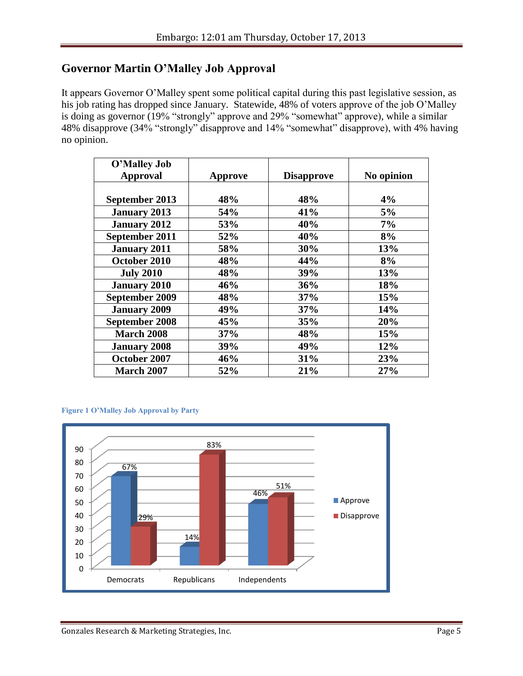#### **Governor Martin O'Malley Job Approval**

It appears Governor O'Malley spent some political capital during this past legislative session, as his job rating has dropped since January. Statewide, 48% of voters approve of the job O'Malley is doing as governor (19% "strongly" approve and 29% "somewhat" approve), while a similar 48% disapprove (34% "strongly" disapprove and 14% "somewhat" disapprove), with 4% having no opinion.

| O'Malley Job          |         |                   |            |
|-----------------------|---------|-------------------|------------|
| <b>Approval</b>       | Approve | <b>Disapprove</b> | No opinion |
|                       |         |                   |            |
| September 2013        | 48%     | 48%               | 4%         |
| <b>January 2013</b>   | 54%     | 41%               | 5%         |
| <b>January 2012</b>   | 53%     | 40%               | 7%         |
| September 2011        | 52%     | 40%               | 8%         |
| <b>January 2011</b>   | 58%     | 30%               | 13%        |
| October 2010          | 48%     | 44%               | 8%         |
| <b>July 2010</b>      | 48%     | 39%               | 13%        |
| <b>January 2010</b>   | 46%     | 36%               | 18%        |
| September 2009        | 48%     | 37%               | 15%        |
| <b>January 2009</b>   | 49%     | 37%               | 14%        |
| <b>September 2008</b> | 45%     | 35%               | 20%        |
| <b>March 2008</b>     | 37%     | 48%               | 15%        |
| <b>January 2008</b>   | 39%     | 49%               | 12%        |
| October 2007          | 46%     | 31%               | 23%        |
| <b>March 2007</b>     | 52%     | 21%               | 27%        |

#### **Figure 1 O'Malley Job Approval by Party**

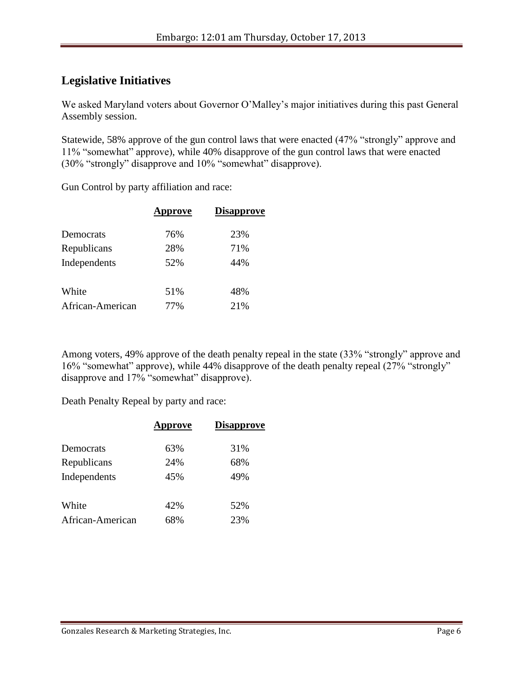#### **Legislative Initiatives**

We asked Maryland voters about Governor O'Malley's major initiatives during this past General Assembly session.

Statewide, 58% approve of the gun control laws that were enacted (47% "strongly" approve and 11% "somewhat" approve), while 40% disapprove of the gun control laws that were enacted (30% "strongly" disapprove and 10% "somewhat" disapprove).

Gun Control by party affiliation and race:

|                  | <b>Approve</b> | <b>Disapprove</b> |  |
|------------------|----------------|-------------------|--|
| Democrats        | 76%            | 23%               |  |
| Republicans      | 28%            | 71%               |  |
| Independents     | 52%            | 44%               |  |
| White            | 51%            | 48%               |  |
| African-American | 77%            | 21%               |  |

Among voters, 49% approve of the death penalty repeal in the state (33% "strongly" approve and 16% "somewhat" approve), while 44% disapprove of the death penalty repeal (27% "strongly" disapprove and 17% "somewhat" disapprove).

Death Penalty Repeal by party and race:

|                  | <b>Approve</b> | <b>Disapprove</b> |  |
|------------------|----------------|-------------------|--|
| Democrats        | 63%            | 31%               |  |
| Republicans      | 24%            | 68%               |  |
| Independents     | 45%            | 49%               |  |
| White            | 42%            | 52%               |  |
| African-American | 68%            | 23%               |  |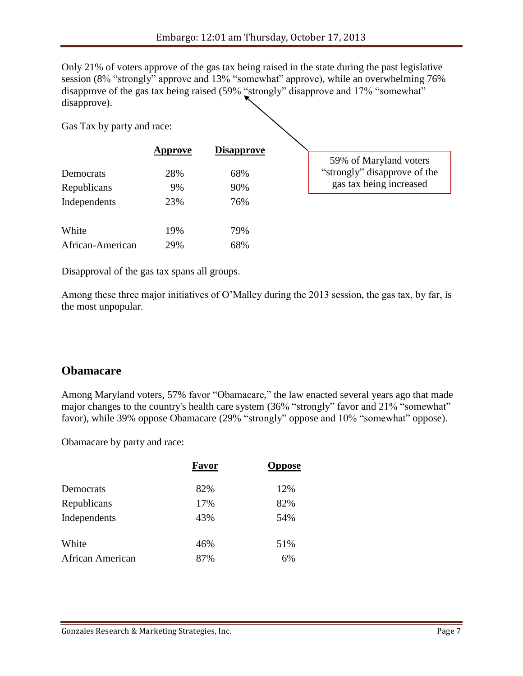Only 21% of voters approve of the gas tax being raised in the state during the past legislative session (8% "strongly" approve and 13% "somewhat" approve), while an overwhelming 76% disapprove of the gas tax being raised (59% "strongly" disapprove and 17% "somewhat" disapprove).

Gas Tax by party and race:

|                  | <b>Approve</b> | <b>Disapprove</b> |                              |
|------------------|----------------|-------------------|------------------------------|
|                  |                |                   | 59% of Maryland voters       |
| Democrats        | 28%            | 68%               | "strongly" disapprove of the |
| Republicans      | 9%             | 90%               | gas tax being increased      |
| Independents     | 23%            | 76%               |                              |
| White            | 19%            | 79%               |                              |
| African-American | 29%            | 68%               |                              |

Disapproval of the gas tax spans all groups.

Among these three major initiatives of O'Malley during the 2013 session, the gas tax, by far, is the most unpopular.

#### **Obamacare**

Among Maryland voters, 57% favor "Obamacare," the law enacted several years ago that made major changes to the country's health care system (36% "strongly" favor and 21% "somewhat" favor), while 39% oppose Obamacare (29% "strongly" oppose and 10% "somewhat" oppose).

Obamacare by party and race:

|                  | Favor | <b>Oppose</b> |  |
|------------------|-------|---------------|--|
| Democrats        | 82%   | 12%           |  |
| Republicans      | 17%   | 82%           |  |
| Independents     | 43%   | 54%           |  |
|                  |       |               |  |
| White            | 46%   | 51%           |  |
| African American | 87%   | 6%            |  |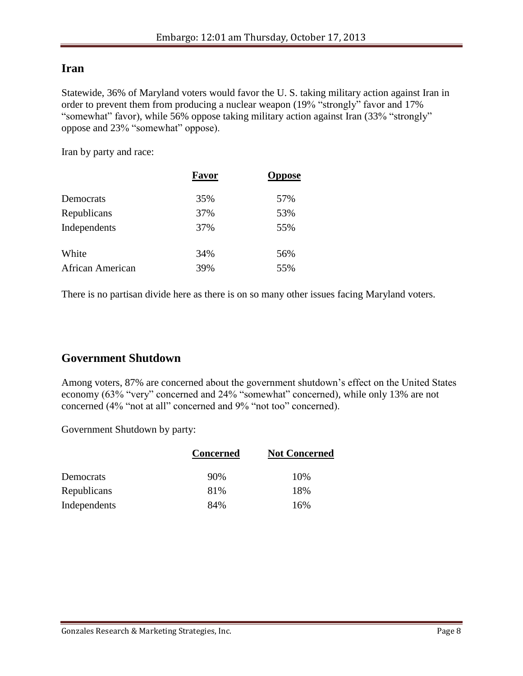#### **Iran**

Statewide, 36% of Maryland voters would favor the U. S. taking military action against Iran in order to prevent them from producing a nuclear weapon (19% "strongly" favor and 17% "somewhat" favor), while 56% oppose taking military action against Iran (33% "strongly" oppose and 23% "somewhat" oppose).

Iran by party and race:

|                  | Favor | <b>Oppose</b> |  |
|------------------|-------|---------------|--|
| Democrats        | 35%   | 57%           |  |
| Republicans      | 37%   | 53%           |  |
| Independents     | 37%   | 55%           |  |
| White            | 34%   | 56%           |  |
| African American | 39%   | 55%           |  |

There is no partisan divide here as there is on so many other issues facing Maryland voters.

#### **Government Shutdown**

Among voters, 87% are concerned about the government shutdown's effect on the United States economy (63% "very" concerned and 24% "somewhat" concerned), while only 13% are not concerned (4% "not at all" concerned and 9% "not too" concerned).

Government Shutdown by party:

|              | <b>Concerned</b> | <b>Not Concerned</b> |
|--------------|------------------|----------------------|
| Democrats    | 90%              | 10%                  |
| Republicans  | 81%              | 18%                  |
| Independents | 84%              | 16%                  |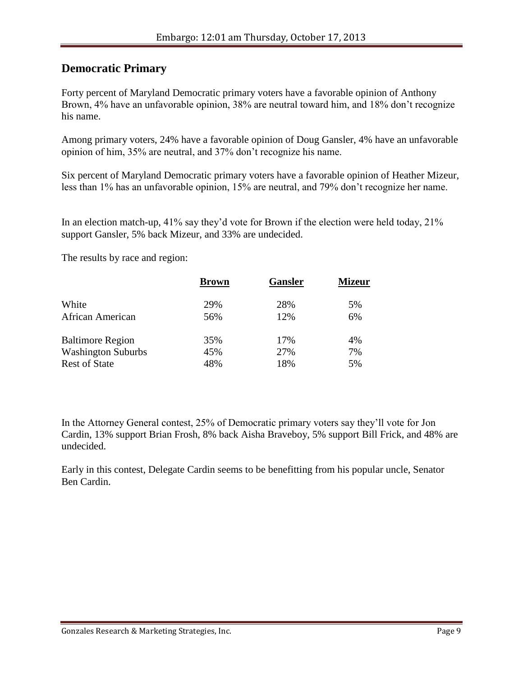#### **Democratic Primary**

Forty percent of Maryland Democratic primary voters have a favorable opinion of Anthony Brown, 4% have an unfavorable opinion, 38% are neutral toward him, and 18% don't recognize his name.

Among primary voters, 24% have a favorable opinion of Doug Gansler, 4% have an unfavorable opinion of him, 35% are neutral, and 37% don't recognize his name.

Six percent of Maryland Democratic primary voters have a favorable opinion of Heather Mizeur, less than 1% has an unfavorable opinion, 15% are neutral, and 79% don't recognize her name.

In an election match-up, 41% say they'd vote for Brown if the election were held today, 21% support Gansler, 5% back Mizeur, and 33% are undecided.

The results by race and region:

| <b>Brown</b> | <b>Gansler</b> | <b>Mizeur</b> |
|--------------|----------------|---------------|
| 29%          | 28%            | 5%            |
| 56%          | 12%            | 6%            |
| 35%          | 17%            | 4%            |
| 45%          | 27%            | 7%            |
| 48%          | 18%            | 5%            |
|              |                |               |

In the Attorney General contest, 25% of Democratic primary voters say they'll vote for Jon Cardin, 13% support Brian Frosh, 8% back Aisha Braveboy, 5% support Bill Frick, and 48% are undecided.

Early in this contest, Delegate Cardin seems to be benefitting from his popular uncle, Senator Ben Cardin.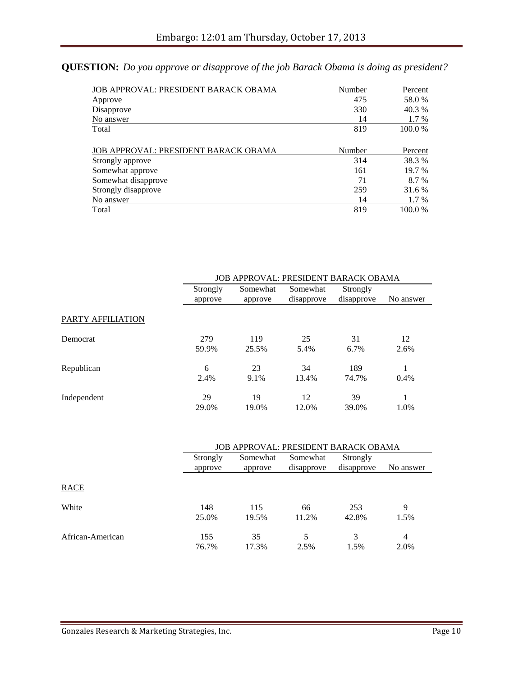### **QUESTION:** *Do you approve or disapprove of the job Barack Obama is doing as president?*

| JOB APPROVAL: PRESIDENT BARACK OBAMA | Number | Percent |
|--------------------------------------|--------|---------|
| Approve                              | 475    | 58.0%   |
| Disapprove                           | 330    | 40.3 %  |
| No answer                            | 14     | 1.7 %   |
| Total                                | 819    | 100.0 % |
| JOB APPROVAL: PRESIDENT BARACK OBAMA | Number | Percent |
| Strongly approve                     | 314    | 38.3 %  |
| Somewhat approve                     | 161    | 19.7 %  |
| Somewhat disapprove                  | 71     | 8.7 %   |
| Strongly disapprove                  | 259    | 31.6 %  |
| No answer                            | 14     | 1.7 %   |
| Total                                | 819    | 100.0%  |

|                   |                     | JOB APPROVAL: PRESIDENT BARACK OBAMA |                        |                        |            |  |
|-------------------|---------------------|--------------------------------------|------------------------|------------------------|------------|--|
|                   | Strongly<br>approve | Somewhat<br>approve                  | Somewhat<br>disapprove | Strongly<br>disapprove | No answer  |  |
| PARTY AFFILIATION |                     |                                      |                        |                        |            |  |
| Democrat          | 279<br>59.9%        | 119<br>25.5%                         | 25<br>5.4%             | 31<br>6.7%             | 12<br>2.6% |  |
| Republican        | 6<br>2.4%           | 23<br>9.1%                           | 34<br>13.4%            | 189<br>74.7%           | 0.4%       |  |
| Independent       | 29<br>29.0%         | 19<br>19.0%                          | 12<br>12.0%            | 39<br>39.0%            | 1.0%       |  |

|                  | <b>JOB APPROVAL: PRESIDENT BARACK OBAMA</b> |                     |                        |                        |           |
|------------------|---------------------------------------------|---------------------|------------------------|------------------------|-----------|
|                  | Strongly<br>approve                         | Somewhat<br>approve | Somewhat<br>disapprove | Strongly<br>disapprove | No answer |
| RACE             |                                             |                     |                        |                        |           |
| White            | 148<br>25.0%                                | 115<br>19.5%        | 66<br>11.2%            | 253<br>42.8%           | 9<br>1.5% |
| African-American | 155<br>76.7%                                | 35<br>17.3%         | 5<br>2.5%              | 3<br>1.5%              | 4<br>2.0% |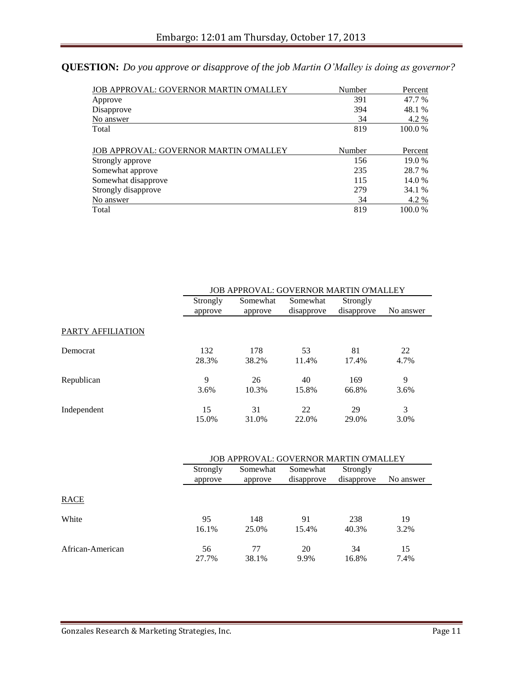### **QUESTION:** *Do you approve or disapprove of the job Martin O'Malley is doing as governor?*

| JOB APPROVAL: GOVERNOR MARTIN O'MALLEY | Number | Percent |
|----------------------------------------|--------|---------|
| Approve                                | 391    | 47.7 %  |
| Disapprove                             | 394    | 48.1 %  |
| No answer                              | 34     | 4.2 %   |
| Total                                  | 819    | 100.0 % |
| JOB APPROVAL: GOVERNOR MARTIN O'MALLEY | Number | Percent |
| Strongly approve                       | 156    | 19.0 %  |
| Somewhat approve                       | 235    | 28.7 %  |
| Somewhat disapprove                    | 115    | 14.0 %  |
| Strongly disapprove                    | 279    | 34.1 %  |
| No answer                              | 34     | 4.2 %   |
| Total                                  | 819    | 100.0%  |

|                          |                     | <b>JOB APPROVAL: GOVERNOR MARTIN O'MALLEY</b> |                        |                        |           |  |
|--------------------------|---------------------|-----------------------------------------------|------------------------|------------------------|-----------|--|
|                          | Strongly<br>approve | Somewhat<br>approve                           | Somewhat<br>disapprove | Strongly<br>disapprove | No answer |  |
| <b>PARTY AFFILIATION</b> |                     |                                               |                        |                        |           |  |
| Democrat                 | 132                 | 178                                           | 53                     | 81                     | 22        |  |
|                          | 28.3%               | 38.2%                                         | 11.4%                  | 17.4%                  | 4.7%      |  |
| Republican               | 9                   | 26                                            | 40                     | 169                    | 9         |  |
|                          | 3.6%                | 10.3%                                         | 15.8%                  | 66.8%                  | 3.6%      |  |
| Independent              | 15                  | 31                                            | 22                     | 29                     | 3         |  |
|                          | 15.0%               | 31.0%                                         | 22.0%                  | 29.0%                  | 3.0%      |  |

|                  | <b>JOB APPROVAL: GOVERNOR MARTIN O'MALLEY</b> |                     |                        |                        |            |
|------------------|-----------------------------------------------|---------------------|------------------------|------------------------|------------|
|                  | Strongly<br>approve                           | Somewhat<br>approve | Somewhat<br>disapprove | Strongly<br>disapprove | No answer  |
| RACE             |                                               |                     |                        |                        |            |
| White            | 95<br>16.1%                                   | 148<br>25.0%        | 91<br>15.4%            | 238<br>40.3%           | 19<br>3.2% |
| African-American | 56<br>27.7%                                   | 77<br>38.1%         | 20<br>9.9%             | 34<br>16.8%            | 15<br>7.4% |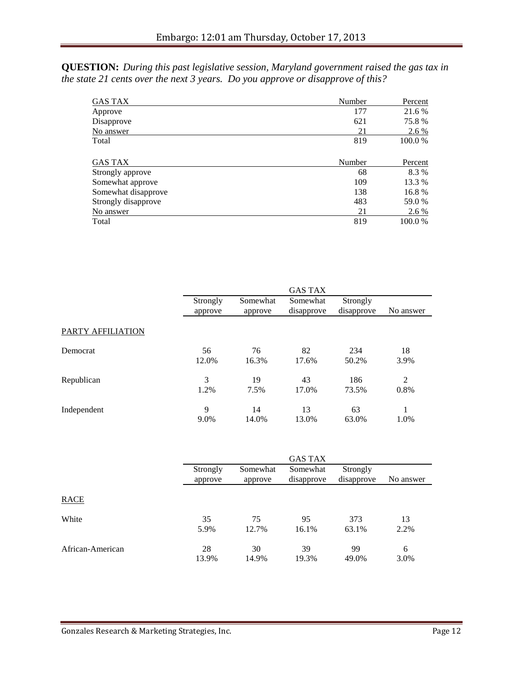**QUESTION:** *During this past legislative session, Maryland government raised the gas tax in the state 21 cents over the next 3 years. Do you approve or disapprove of this?*

| GAS TAX             | Number | Percent |
|---------------------|--------|---------|
| Approve             | 177    | 21.6 %  |
| Disapprove          | 621    | 75.8%   |
| No answer           | 21     | 2.6 %   |
| Total               | 819    | 100.0%  |
| <b>GAS TAX</b>      | Number | Percent |
| Strongly approve    | 68     | 8.3 %   |
| Somewhat approve    | 109    | 13.3 %  |
| Somewhat disapprove | 138    | 16.8%   |
| Strongly disapprove | 483    | 59.0 %  |
| No answer           | 21     | 2.6 %   |
| Total               | 819    | 100.0%  |

|                   |                     |                     | <b>GAS TAX</b>         |                        |                |
|-------------------|---------------------|---------------------|------------------------|------------------------|----------------|
|                   | Strongly<br>approve | Somewhat<br>approve | Somewhat<br>disapprove | Strongly<br>disapprove | No answer      |
| PARTY AFFILIATION |                     |                     |                        |                        |                |
| Democrat          | 56                  | 76                  | 82                     | 234                    | 18             |
|                   | 12.0%               | 16.3%               | 17.6%                  | 50.2%                  | 3.9%           |
| Republican        | 3                   | 19                  | 43                     | 186                    | $\overline{2}$ |
|                   | 1.2%                | 7.5%                | 17.0%                  | 73.5%                  | 0.8%           |
| Independent       | 9                   | 14                  | 13                     | 63                     | 1              |
|                   | 9.0%                | 14.0%               | 13.0%                  | 63.0%                  | 1.0%           |

|                  |                     |                     | <b>GAS TAX</b>         |                        |            |
|------------------|---------------------|---------------------|------------------------|------------------------|------------|
|                  | Strongly<br>approve | Somewhat<br>approve | Somewhat<br>disapprove | Strongly<br>disapprove | No answer  |
| <b>RACE</b>      |                     |                     |                        |                        |            |
| White            | 35<br>5.9%          | 75<br>12.7%         | 95<br>16.1%            | 373<br>63.1%           | 13<br>2.2% |
| African-American | 28<br>13.9%         | 30<br>14.9%         | 39<br>19.3%            | 99<br>49.0%            | 6<br>3.0%  |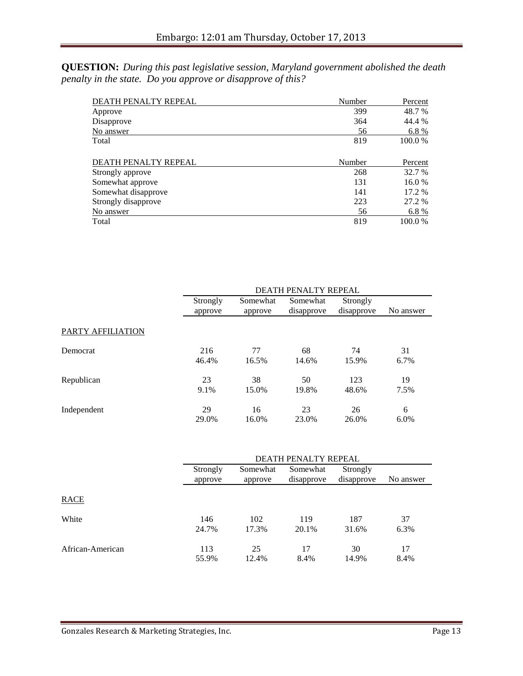**QUESTION:** *During this past legislative session, Maryland government abolished the death penalty in the state. Do you approve or disapprove of this?*

| DEATH PENALTY REPEAL | Number | Percent |
|----------------------|--------|---------|
| Approve              | 399    | 48.7 %  |
| Disapprove           | 364    | 44.4 %  |
| No answer            | 56     | 6.8%    |
| Total                | 819    | 100.0 % |
| DEATH PENALTY REPEAL | Number | Percent |
| Strongly approve     | 268    | 32.7 %  |
| Somewhat approve     | 131    | 16.0%   |
| Somewhat disapprove  | 141    | 17.2 %  |
| Strongly disapprove  | 223    | 27.2 %  |
| No answer            | 56     | 6.8%    |
| Total                | 819    | 100.0%  |

|                   |                     | DEATH PENALTY REPEAL |                        |                        |           |
|-------------------|---------------------|----------------------|------------------------|------------------------|-----------|
|                   | Strongly<br>approve | Somewhat<br>approve  | Somewhat<br>disapprove | Strongly<br>disapprove | No answer |
| PARTY AFFILIATION |                     |                      |                        |                        |           |
| Democrat          | 216                 | 77                   | 68                     | 74                     | 31        |
|                   | 46.4%               | 16.5%                | 14.6%                  | 15.9%                  | 6.7%      |
| Republican        | 23                  | 38                   | 50                     | 123                    | 19        |
|                   | 9.1%                | 15.0%                | 19.8%                  | 48.6%                  | 7.5%      |
| Independent       | 29                  | 16                   | 23                     | 26                     | 6         |
|                   | 29.0%               | 16.0%                | 23.0%                  | 26.0%                  | 6.0%      |

|                  | DEATH PENALTY REPEAL |                     |                        |                        |            |
|------------------|----------------------|---------------------|------------------------|------------------------|------------|
|                  | Strongly<br>approve  | Somewhat<br>approve | Somewhat<br>disapprove | Strongly<br>disapprove | No answer  |
| RACE             |                      |                     |                        |                        |            |
| White            | 146<br>24.7%         | 102<br>17.3%        | 119<br>20.1%           | 187<br>31.6%           | 37<br>6.3% |
| African-American | 113<br>55.9%         | 25<br>12.4%         | 17<br>8.4%             | 30<br>14.9%            | 17<br>8.4% |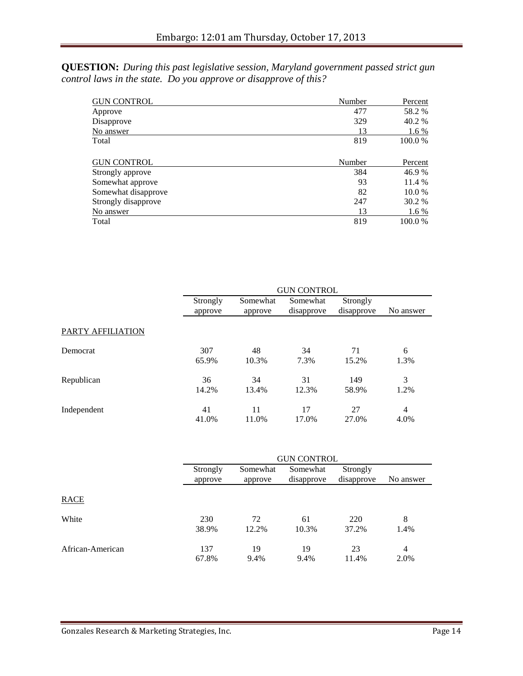**QUESTION:** *During this past legislative session, Maryland government passed strict gun control laws in the state. Do you approve or disapprove of this?*

| <b>GUN CONTROL</b>  | Number | Percent |
|---------------------|--------|---------|
| Approve             | 477    | 58.2 %  |
| Disapprove          | 329    | 40.2 %  |
| No answer           | 13     | 1.6 %   |
| Total               | 819    | 100.0 % |
| <b>GUN CONTROL</b>  | Number | Percent |
| Strongly approve    | 384    | 46.9 %  |
| Somewhat approve    | 93     | 11.4 %  |
| Somewhat disapprove | 82     | 10.0 %  |
| Strongly disapprove | 247    | 30.2 %  |
| No answer           | 13     | 1.6 %   |
| Total               | 819    | 100.0 % |

|                   | <b>GUN CONTROL</b>  |                     |                        |                        |           |  |
|-------------------|---------------------|---------------------|------------------------|------------------------|-----------|--|
|                   | Strongly<br>approve | Somewhat<br>approve | Somewhat<br>disapprove | Strongly<br>disapprove | No answer |  |
| PARTY AFFILIATION |                     |                     |                        |                        |           |  |
| Democrat          | 307                 | 48                  | 34                     | 71                     | 6         |  |
|                   | 65.9%               | 10.3%               | 7.3%                   | 15.2%                  | 1.3%      |  |
| Republican        | 36                  | 34                  | 31                     | 149                    | 3         |  |
|                   | 14.2%               | 13.4%               | 12.3%                  | 58.9%                  | 1.2%      |  |
| Independent       | 41                  | 11                  | 17                     | 27                     | 4         |  |
|                   | 41.0%               | 11.0%               | 17.0%                  | 27.0%                  | 4.0%      |  |

|                  | <b>GUN CONTROL</b>  |                     |                        |                        |                        |
|------------------|---------------------|---------------------|------------------------|------------------------|------------------------|
|                  | Strongly<br>approve | Somewhat<br>approve | Somewhat<br>disapprove | Strongly<br>disapprove | No answer              |
| <b>RACE</b>      |                     |                     |                        |                        |                        |
| White            | 230<br>38.9%        | 72<br>12.2%         | 61<br>10.3%            | 220<br>37.2%           | 8<br>1.4%              |
| African-American | 137<br>67.8%        | 19<br>9.4%          | 19<br>9.4%             | 23<br>11.4%            | $\overline{4}$<br>2.0% |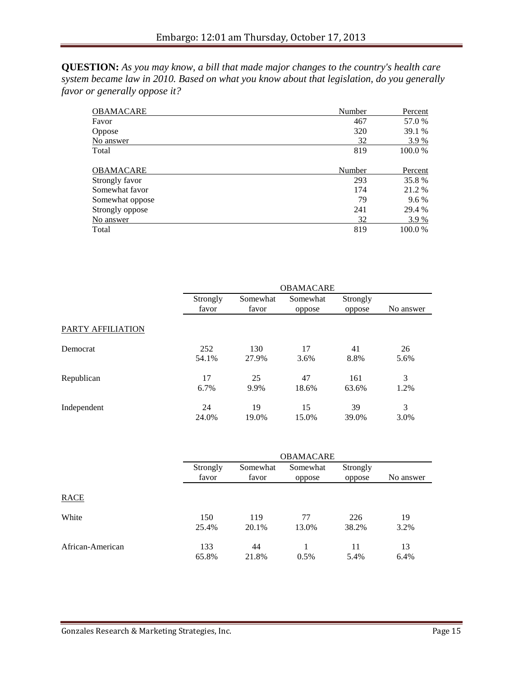**QUESTION:** *As you may know, a bill that made major changes to the country's health care system became law in 2010. Based on what you know about that legislation, do you generally favor or generally oppose it?*

| <b>OBAMACARE</b> | Number | Percent |
|------------------|--------|---------|
| Favor            | 467    | 57.0 %  |
| Oppose           | 320    | 39.1 %  |
| No answer        | 32     | 3.9 %   |
| Total            | 819    | 100.0%  |
| OBAMACARE        | Number | Percent |
| Strongly favor   | 293    | 35.8%   |
| Somewhat favor   | 174    | 21.2 %  |
| Somewhat oppose  | 79     | $9.6\%$ |
| Strongly oppose  | 241    | 29.4 %  |
| No answer        | 32     | 3.9 %   |
| Total            | 819    | 100.0%  |

|                   | <b>OBAMACARE</b>  |                   |                    |                    |           |
|-------------------|-------------------|-------------------|--------------------|--------------------|-----------|
|                   | Strongly<br>favor | Somewhat<br>favor | Somewhat<br>oppose | Strongly<br>oppose | No answer |
| PARTY AFFILIATION |                   |                   |                    |                    |           |
| Democrat          | 252               | 130               | 17                 | 41                 | 26        |
|                   | 54.1%             | 27.9%             | 3.6%               | 8.8%               | 5.6%      |
| Republican        | 17                | 25                | 47                 | 161                | 3         |
|                   | 6.7%              | 9.9%              | 18.6%              | 63.6%              | 1.2%      |
| Independent       | 24                | 19                | 15                 | 39                 | 3         |
|                   | 24.0%             | 19.0%             | 15.0%              | 39.0%              | 3.0%      |

|                  | <b>OBAMACARE</b>  |                   |                    |                    |            |
|------------------|-------------------|-------------------|--------------------|--------------------|------------|
|                  | Strongly<br>favor | Somewhat<br>favor | Somewhat<br>oppose | Strongly<br>oppose | No answer  |
| <b>RACE</b>      |                   |                   |                    |                    |            |
| White            | 150<br>25.4%      | 119<br>20.1%      | 77<br>13.0%        | 226<br>38.2%       | 19<br>3.2% |
| African-American | 133<br>65.8%      | 44<br>21.8%       | 0.5%               | 11<br>5.4%         | 13<br>6.4% |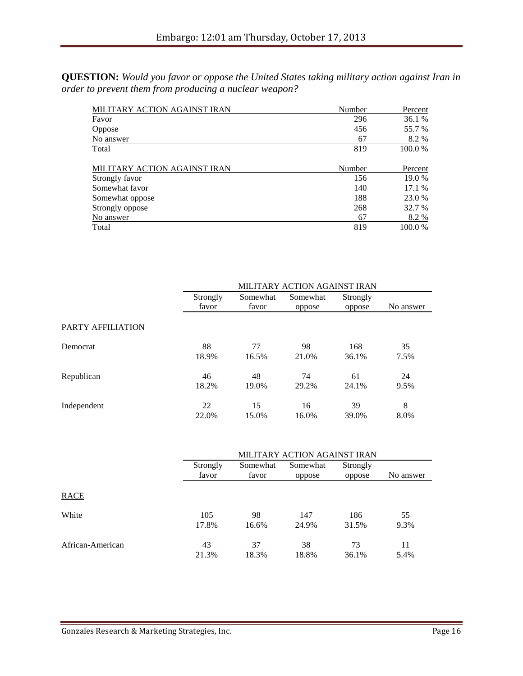**QUESTION:** *Would you favor or oppose the United States taking military action against Iran in order to prevent them from producing a nuclear weapon?*

| MILITARY ACTION AGAINST IRAN | Number | Percent   |
|------------------------------|--------|-----------|
| Favor                        | 296    | 36.1 %    |
| Oppose                       | 456    | 55.7 %    |
| No answer                    | 67     | 8.2 %     |
| Total                        | 819    | 100.0 %   |
| MILITARY ACTION AGAINST IRAN | Number | Percent   |
| Strongly favor               | 156    | 19.0 %    |
| Somewhat favor               | 140    | 17.1 %    |
| Somewhat oppose              | 188    | 23.0 %    |
| Strongly oppose              | 268    | 32.7 %    |
| No answer                    | 67     | 8.2 %     |
| Total                        | 819    | $100.0\%$ |

|                   | MILITARY ACTION AGAINST IRAN |                   |                    |                    |           |  |
|-------------------|------------------------------|-------------------|--------------------|--------------------|-----------|--|
|                   | Strongly<br>favor            | Somewhat<br>favor | Somewhat<br>oppose | Strongly<br>oppose | No answer |  |
| PARTY AFFILIATION |                              |                   |                    |                    |           |  |
| Democrat          | 88                           | 77                | 98                 | 168                | 35        |  |
|                   | 18.9%                        | 16.5%             | 21.0%              | 36.1%              | 7.5%      |  |
| Republican        | 46                           | 48                | 74                 | 61                 | 24        |  |
|                   | 18.2%                        | 19.0%             | 29.2%              | 24.1%              | 9.5%      |  |
| Independent       | 22                           | 15                | 16                 | 39                 | 8         |  |
|                   | 22.0%                        | 15.0%             | 16.0%              | 39.0%              | 8.0%      |  |

|                  | MILITARY ACTION AGAINST IRAN |                   |                    |                    |            |  |
|------------------|------------------------------|-------------------|--------------------|--------------------|------------|--|
|                  | Strongly<br>favor            | Somewhat<br>favor | Somewhat<br>oppose | Strongly<br>oppose | No answer  |  |
| <b>RACE</b>      |                              |                   |                    |                    |            |  |
| White            | 105<br>17.8%                 | 98<br>16.6%       | 147<br>24.9%       | 186<br>31.5%       | 55<br>9.3% |  |
| African-American | 43<br>21.3%                  | 37<br>18.3%       | 38<br>18.8%        | 73<br>36.1%        | 11<br>5.4% |  |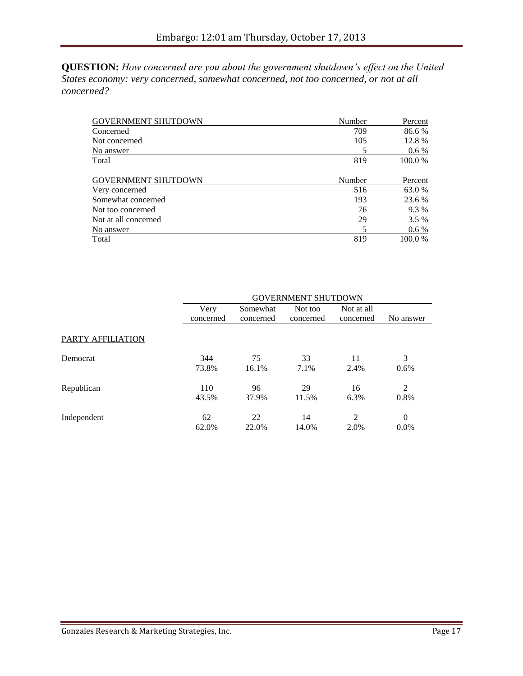**QUESTION:** *How concerned are you about the government shutdown's effect on the United States economy: very concerned, somewhat concerned, not too concerned, or not at all concerned?*

| <b>GOVERNMENT SHUTDOWN</b> | Number | Percent |
|----------------------------|--------|---------|
| Concerned                  | 709    | 86.6 %  |
| Not concerned              | 105    | 12.8 %  |
| No answer                  |        | $0.6\%$ |
| Total                      | 819    | 100.0 % |
| <b>GOVERNMENT SHUTDOWN</b> | Number | Percent |
| Very concerned             | 516    | 63.0 %  |
| Somewhat concerned         | 193    | 23.6 %  |
| Not too concerned          | 76     | 9.3 %   |
| Not at all concerned       | 29     | $3.5\%$ |
| No answer                  | 5      | $0.6\%$ |
| Total                      | 819    | 100.0 % |

|                   | <b>GOVERNMENT SHUTDOWN</b> |           |           |                |           |
|-------------------|----------------------------|-----------|-----------|----------------|-----------|
|                   | Very                       | Somewhat  | Not too   | Not at all     |           |
|                   | concerned                  | concerned | concerned | concerned      | No answer |
| PARTY AFFILIATION |                            |           |           |                |           |
| Democrat          | 344                        | 75        | 33        | 11             | 3         |
|                   | 73.8%                      | 16.1%     | 7.1%      | 2.4%           | 0.6%      |
| Republican        | 110                        | 96        | 29        | 16             | 2         |
|                   | 43.5%                      | 37.9%     | 11.5%     | 6.3%           | 0.8%      |
| Independent       | 62                         | 22        | 14        | $\overline{2}$ | $\theta$  |
|                   | 62.0%                      | 22.0%     | 14.0%     | 2.0%           | $0.0\%$   |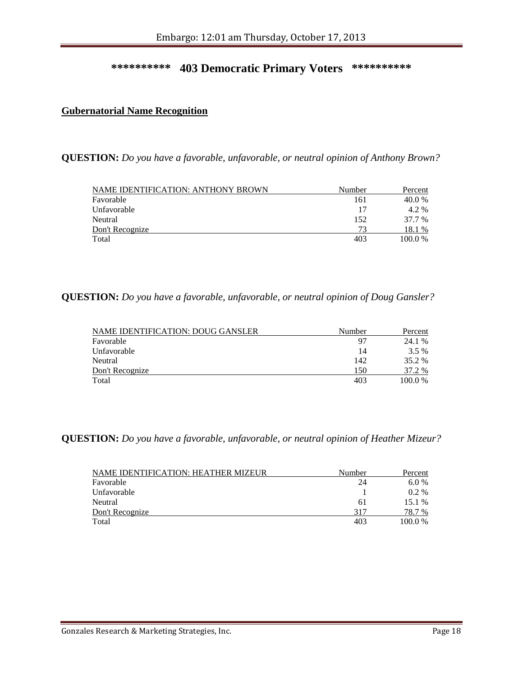#### **\*\*\*\*\*\*\*\*\*\* 403 Democratic Primary Voters \*\*\*\*\*\*\*\*\*\***

#### **Gubernatorial Name Recognition**

**QUESTION:** *Do you have a favorable, unfavorable, or neutral opinion of Anthony Brown?*

| NAME IDENTIFICATION: ANTHONY BROWN | Number | Percent |
|------------------------------------|--------|---------|
| Favorable                          | 161    | 40.0 %  |
| Unfavorable                        | 17     | 4.2 %   |
| Neutral                            | 152    | 37.7 %  |
| Don't Recognize                    | 73     | 18.1 %  |
| Total                              | 403    | 100.0%  |

#### **QUESTION:** *Do you have a favorable, unfavorable, or neutral opinion of Doug Gansler?*

| NAME IDENTIFICATION: DOUG GANSLER | Number | Percent |
|-----------------------------------|--------|---------|
| Favorable                         | 97     | 24.1 %  |
| Unfavorable                       | 14     | 3.5 %   |
| Neutral                           | 142    | 35.2 %  |
| Don't Recognize                   | 150    | 37.2 %  |
| Total                             | 403    | 100.0 % |

#### **QUESTION:** *Do you have a favorable, unfavorable, or neutral opinion of Heather Mizeur?*

| NAME IDENTIFICATION: HEATHER MIZEUR | Number | Percent   |
|-------------------------------------|--------|-----------|
| Favorable                           | 24     | 6.0%      |
| Unfavorable                         |        | $0.2\%$   |
| Neutral                             | 61     | $15.1\%$  |
| Don't Recognize                     | 317    | 78.7 %    |
| Total                               | 403    | $100.0\%$ |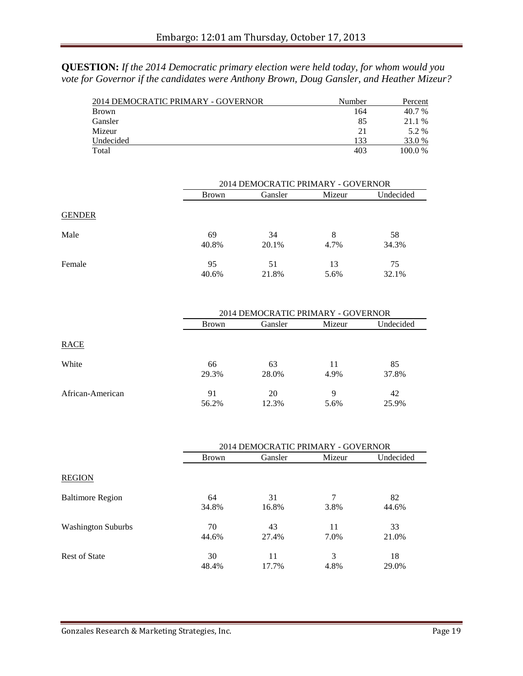**QUESTION:** *If the 2014 Democratic primary election were held today, for whom would you vote for Governor if the candidates were Anthony Brown, Doug Gansler, and Heather Mizeur?*

| 2014 DEMOCRATIC PRIMARY - GOVERNOR | Number | Percent |
|------------------------------------|--------|---------|
| <b>Brown</b>                       | 164    | 40.7 %  |
| Gansler                            | 85     | 21.1 %  |
| Mizeur                             | 21     | 5.2 %   |
| Undecided                          | 133    | 33.0 %  |
| Total                              | 403    | 100.0%  |

|               | 2014 DEMOCRATIC PRIMARY - GOVERNOR |             |            |             |  |
|---------------|------------------------------------|-------------|------------|-------------|--|
|               | Brown                              | Gansler     |            | Undecided   |  |
| <b>GENDER</b> |                                    |             |            |             |  |
| Male          | 69<br>40.8%                        | 34<br>20.1% | 8<br>4.7%  | 58<br>34.3% |  |
| Female        | 95<br>40.6%                        | 51<br>21.8% | 13<br>5.6% | 75<br>32.1% |  |

|                  | 2014 DEMOCRATIC PRIMARY - GOVERNOR |             |            |             |  |
|------------------|------------------------------------|-------------|------------|-------------|--|
|                  | Brown                              | Gansler     |            | Undecided   |  |
| <b>RACE</b>      |                                    |             |            |             |  |
| White            | 66<br>29.3%                        | 63<br>28.0% | 11<br>4.9% | 85<br>37.8% |  |
| African-American | 91<br>56.2%                        | 20<br>12.3% | 9<br>5.6%  | 42<br>25.9% |  |

|                           | 2014 DEMOCRATIC PRIMARY - GOVERNOR |         |        |           |  |
|---------------------------|------------------------------------|---------|--------|-----------|--|
|                           | <b>Brown</b>                       | Gansler | Mizeur | Undecided |  |
| <b>REGION</b>             |                                    |         |        |           |  |
| <b>Baltimore Region</b>   | 64                                 | 31      | 7      | 82        |  |
|                           | 34.8%                              | 16.8%   | 3.8%   | 44.6%     |  |
| <b>Washington Suburbs</b> | 70                                 | 43      | 11     | 33        |  |
|                           | 44.6%                              | 27.4%   | 7.0%   | 21.0%     |  |
| <b>Rest of State</b>      | 30                                 | 11      | 3      | 18        |  |
|                           | 48.4%                              | 17.7%   | 4.8%   | 29.0%     |  |